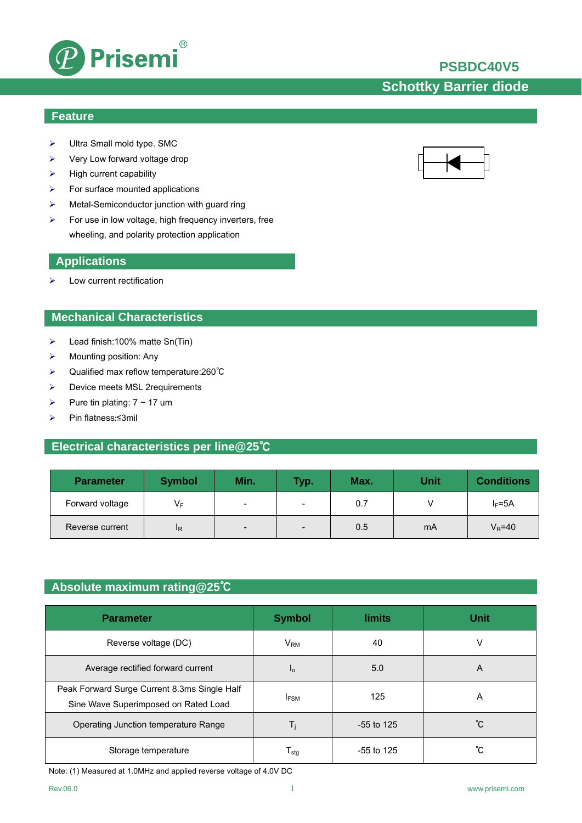

## **PSBDC40V5**

# **Schottky Barrier diode**

#### **Feature**

- ¾ Ultra Small mold type. SMC
- $\triangleright$  Very Low forward voltage drop
- $\blacktriangleright$  High current capability
- $\triangleright$  For surface mounted applications
- ¾ Metal-Semiconductor junction with guard ring
- $\triangleright$  For use in low voltage, high frequency inverters, free wheeling, and polarity protection application

#### **Applications**

 $\blacktriangleright$  Low current rectification

### **Mechanical Characteristics**

- $\blacktriangleright$  Lead finish:100% matte Sn(Tin)
- $\triangleright$  Mounting position: Any
- ¾ Qualified max reflow temperature:260℃
- ¾ Device meets MSL 2requirements
- $\triangleright$  Pure tin plating:  $7 \sim 17$  um
- ¾ Pin flatness:≤3mil

### **Electrical characteristics per line@25**℃

| <b>Parameter</b> | <b>Symbol</b>  | Min.                     | Typ.                     | Max. | Unit | <b>Conditions</b> |
|------------------|----------------|--------------------------|--------------------------|------|------|-------------------|
| Forward voltage  | VF             | -                        | $\overline{\phantom{0}}$ | 0.7  |      | $I_F = 5A$        |
| Reverse current  | <sup>I</sup> R | $\overline{\phantom{0}}$ | $\overline{\phantom{a}}$ | 0.5  | mA   | $V_R$ =40         |

### **Absolute maximum rating@25**℃

| <b>Parameter</b>                                                                     | <b>Symbol</b>     | <b>limits</b> | <b>Unit</b> |
|--------------------------------------------------------------------------------------|-------------------|---------------|-------------|
| Reverse voltage (DC)                                                                 | $V_{\mathsf{RM}}$ | 40            | V           |
| Average rectified forward current                                                    | Ιo                | 5.0           | A           |
| Peak Forward Surge Current 8.3ms Single Half<br>Sine Wave Superimposed on Rated Load | <b>IFSM</b>       | 125           | A           |
| Operating Junction temperature Range                                                 | Тì                | $-55$ to 125  | °C          |
| Storage temperature                                                                  | I stq             | $-55$ to 125  | °С          |

Note: (1) Measured at 1.0MHz and applied reverse voltage of 4.0V DC

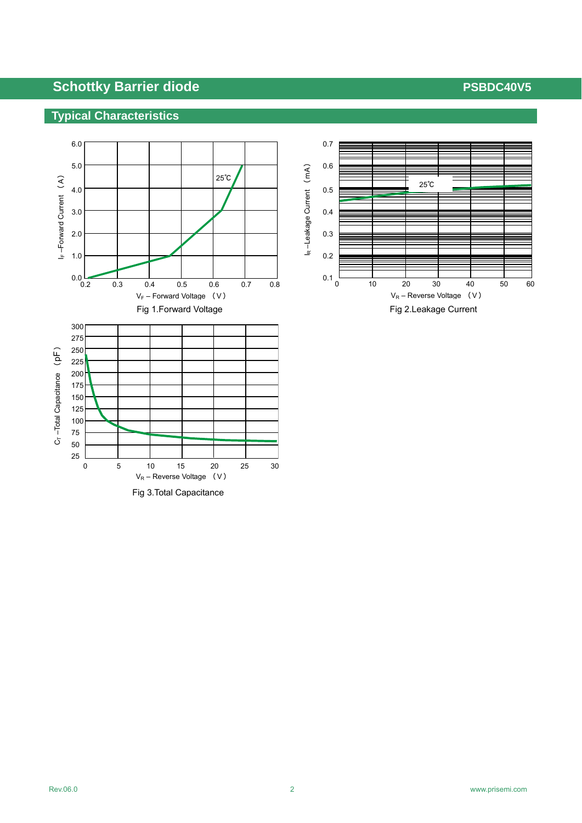## **Typical Characteristics**



Fig 3.Total Capacitance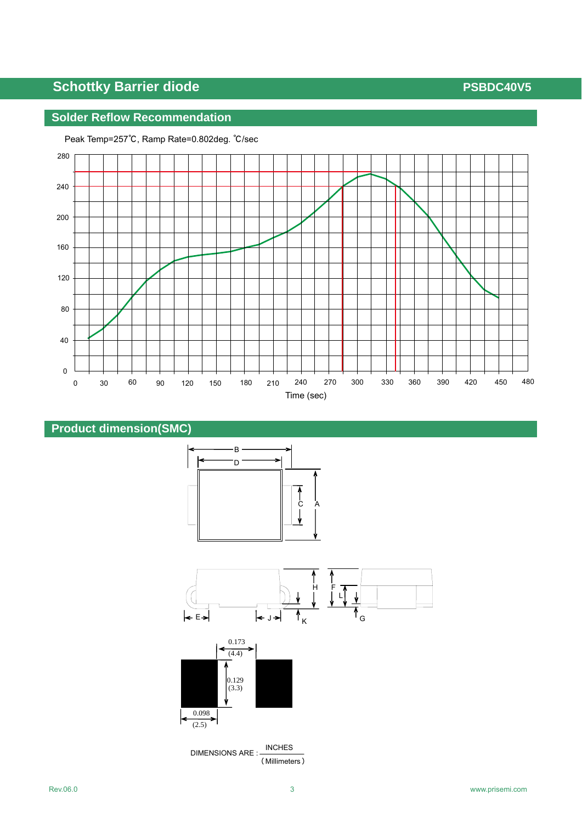## **Solder Reflow Recommendation**













 DIMENSIONS ARE : INCHES (Millimeters)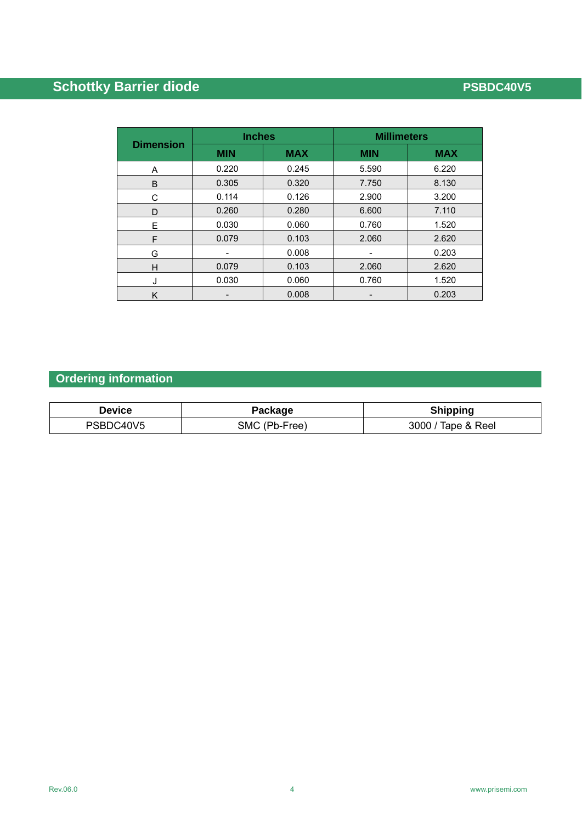|                  | <b>Inches</b> |            | <b>Millimeters</b> |            |  |
|------------------|---------------|------------|--------------------|------------|--|
| <b>Dimension</b> | <b>MIN</b>    | <b>MAX</b> | <b>MIN</b>         | <b>MAX</b> |  |
| A                | 0.220         | 0.245      | 5.590              | 6.220      |  |
| B                | 0.305         | 0.320      | 7.750              | 8.130      |  |
| С                | 0.114         | 0.126      | 2.900              | 3.200      |  |
| D                | 0.260         | 0.280      | 6.600              | 7.110      |  |
| E                | 0.030         | 0.060      | 0.760              | 1.520      |  |
| F                | 0.079         | 0.103      | 2.060              | 2.620      |  |
| G                | -             | 0.008      |                    | 0.203      |  |
| H                | 0.079         | 0.103      | 2.060              | 2.620      |  |
| J                | 0.030         | 0.060      | 0.760              | 1.520      |  |
| Κ                |               | 0.008      |                    | 0.203      |  |

# **Ordering information**

| Device    | Package       | <b>Shipping</b>    |
|-----------|---------------|--------------------|
| PSBDC40V5 | SMC (Pb-Free) | 3000 / Tape & Reel |